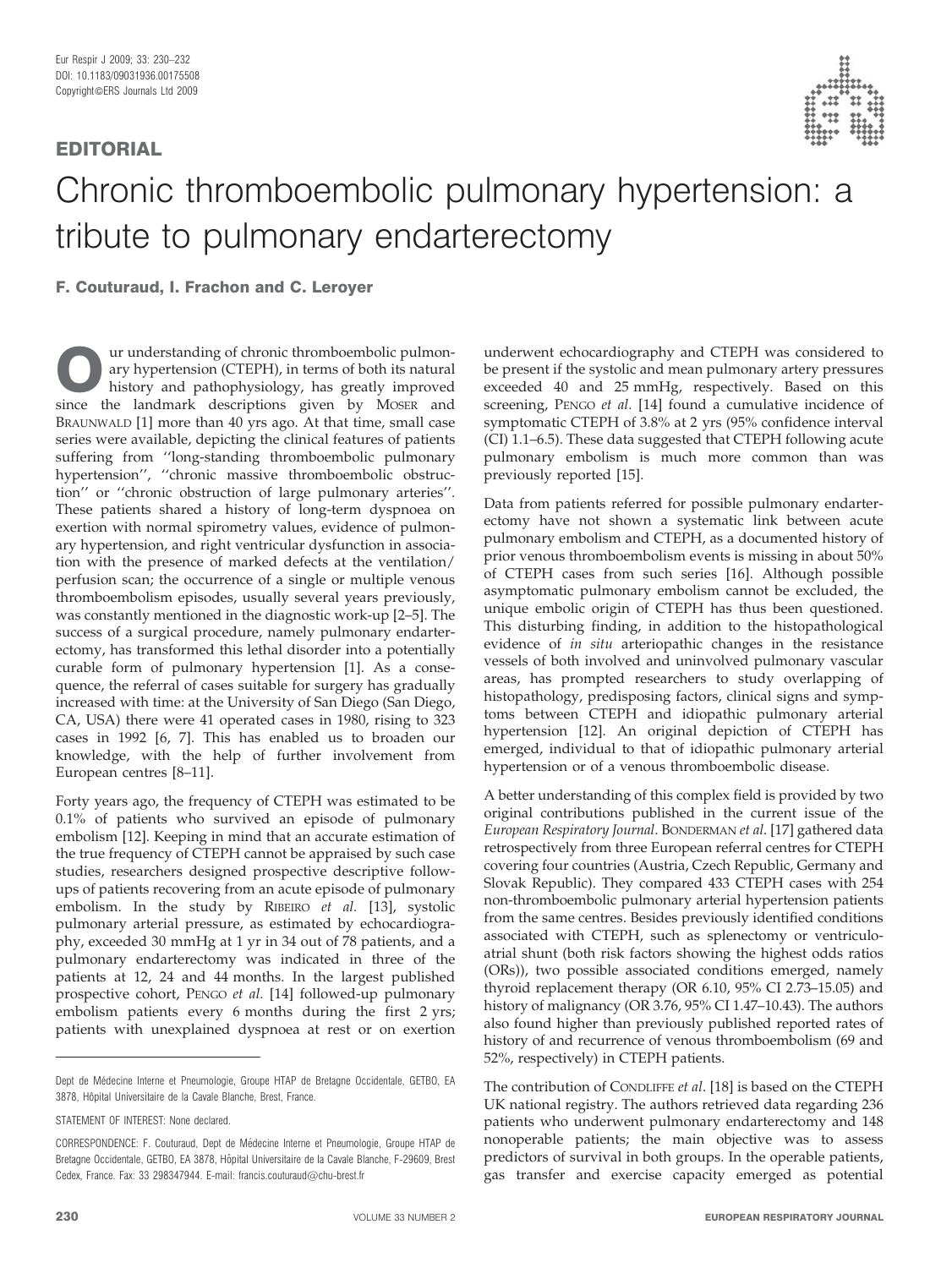## Chronic thromboembolic pulmonary hypertension: a tribute to pulmonary endarterectomy

F. Couturaud, I. Frachon and C. Leroyer

**Our understanding of chronic thromboembolic pulmon-**<br>
history and pathophysiology, has greatly improved<br>
since the landmark descriptions given by MOSER and ary hypertension (CTEPH), in terms of both its natural since the landmark descriptions given by MOSER and BRAUNWALD [1] more than 40 yrs ago. At that time, small case series were available, depicting the clinical features of patients suffering from ''long-standing thromboembolic pulmonary hypertension'', ''chronic massive thromboembolic obstruction'' or ''chronic obstruction of large pulmonary arteries''. These patients shared a history of long-term dyspnoea on exertion with normal spirometry values, evidence of pulmonary hypertension, and right ventricular dysfunction in association with the presence of marked defects at the ventilation/ perfusion scan; the occurrence of a single or multiple venous thromboembolism episodes, usually several years previously, was constantly mentioned in the diagnostic work-up [2–5]. The success of a surgical procedure, namely pulmonary endarterectomy, has transformed this lethal disorder into a potentially curable form of pulmonary hypertension [1]. As a consequence, the referral of cases suitable for surgery has gradually increased with time: at the University of San Diego (San Diego, CA, USA) there were 41 operated cases in 1980, rising to 323 cases in 1992 [6, 7]. This has enabled us to broaden our knowledge, with the help of further involvement from European centres [8–11].

Forty years ago, the frequency of CTEPH was estimated to be 0.1% of patients who survived an episode of pulmonary embolism [12]. Keeping in mind that an accurate estimation of the true frequency of CTEPH cannot be appraised by such case studies, researchers designed prospective descriptive followups of patients recovering from an acute episode of pulmonary embolism. In the study by RIBEIRO et al. [13], systolic pulmonary arterial pressure, as estimated by echocardiography, exceeded 30 mmHg at 1 yr in 34 out of 78 patients, and a pulmonary endarterectomy was indicated in three of the patients at 12, 24 and 44 months. In the largest published prospective cohort, PENGO et al. [14] followed-up pulmonary embolism patients every 6 months during the first 2 yrs; patients with unexplained dyspnoea at rest or on exertion

underwent echocardiography and CTEPH was considered to be present if the systolic and mean pulmonary artery pressures exceeded 40 and 25 mmHg, respectively. Based on this screening, PENGO et al. [14] found a cumulative incidence of symptomatic CTEPH of 3.8% at 2 yrs (95% confidence interval (CI) 1.1–6.5). These data suggested that CTEPH following acute pulmonary embolism is much more common than was previously reported [15].

Data from patients referred for possible pulmonary endarterectomy have not shown a systematic link between acute pulmonary embolism and CTEPH, as a documented history of prior venous thromboembolism events is missing in about 50% of CTEPH cases from such series [16]. Although possible asymptomatic pulmonary embolism cannot be excluded, the unique embolic origin of CTEPH has thus been questioned. This disturbing finding, in addition to the histopathological evidence of in situ arteriopathic changes in the resistance vessels of both involved and uninvolved pulmonary vascular areas, has prompted researchers to study overlapping of histopathology, predisposing factors, clinical signs and symptoms between CTEPH and idiopathic pulmonary arterial hypertension [12]. An original depiction of CTEPH has emerged, individual to that of idiopathic pulmonary arterial hypertension or of a venous thromboembolic disease.

A better understanding of this complex field is provided by two original contributions published in the current issue of the European Respiratory Journal. BONDERMAN et al. [17] gathered data retrospectively from three European referral centres for CTEPH covering four countries (Austria, Czech Republic, Germany and Slovak Republic). They compared 433 CTEPH cases with 254 non-thromboembolic pulmonary arterial hypertension patients from the same centres. Besides previously identified conditions associated with CTEPH, such as splenectomy or ventriculoatrial shunt (both risk factors showing the highest odds ratios (ORs)), two possible associated conditions emerged, namely thyroid replacement therapy (OR 6.10, 95% CI 2.73–15.05) and history of malignancy (OR 3.76, 95% CI 1.47–10.43). The authors also found higher than previously published reported rates of history of and recurrence of venous thromboembolism (69 and 52%, respectively) in CTEPH patients.

The contribution of CONDLIFFE et al. [18] is based on the CTEPH UK national registry. The authors retrieved data regarding 236 patients who underwent pulmonary endarterectomy and 148 nonoperable patients; the main objective was to assess predictors of survival in both groups. In the operable patients, gas transfer and exercise capacity emerged as potential

Dept de Médecine Interne et Pneumologie, Groupe HTAP de Bretagne Occidentale, GETBO, EA 3878, Hôpital Universitaire de la Cavale Blanche, Brest, France.

STATEMENT OF INTEREST: None declared.

CORRESPONDENCE: F. Couturaud, Dept de Me´decine Interne et Pneumologie, Groupe HTAP de Bretagne Occidentale, GETBO, EA 3878, Hôpital Universitaire de la Cavale Blanche, F-29609, Brest Cedex, France, Fax: 33 298347944. F-mail: francis.couturaud@chu-brest.fr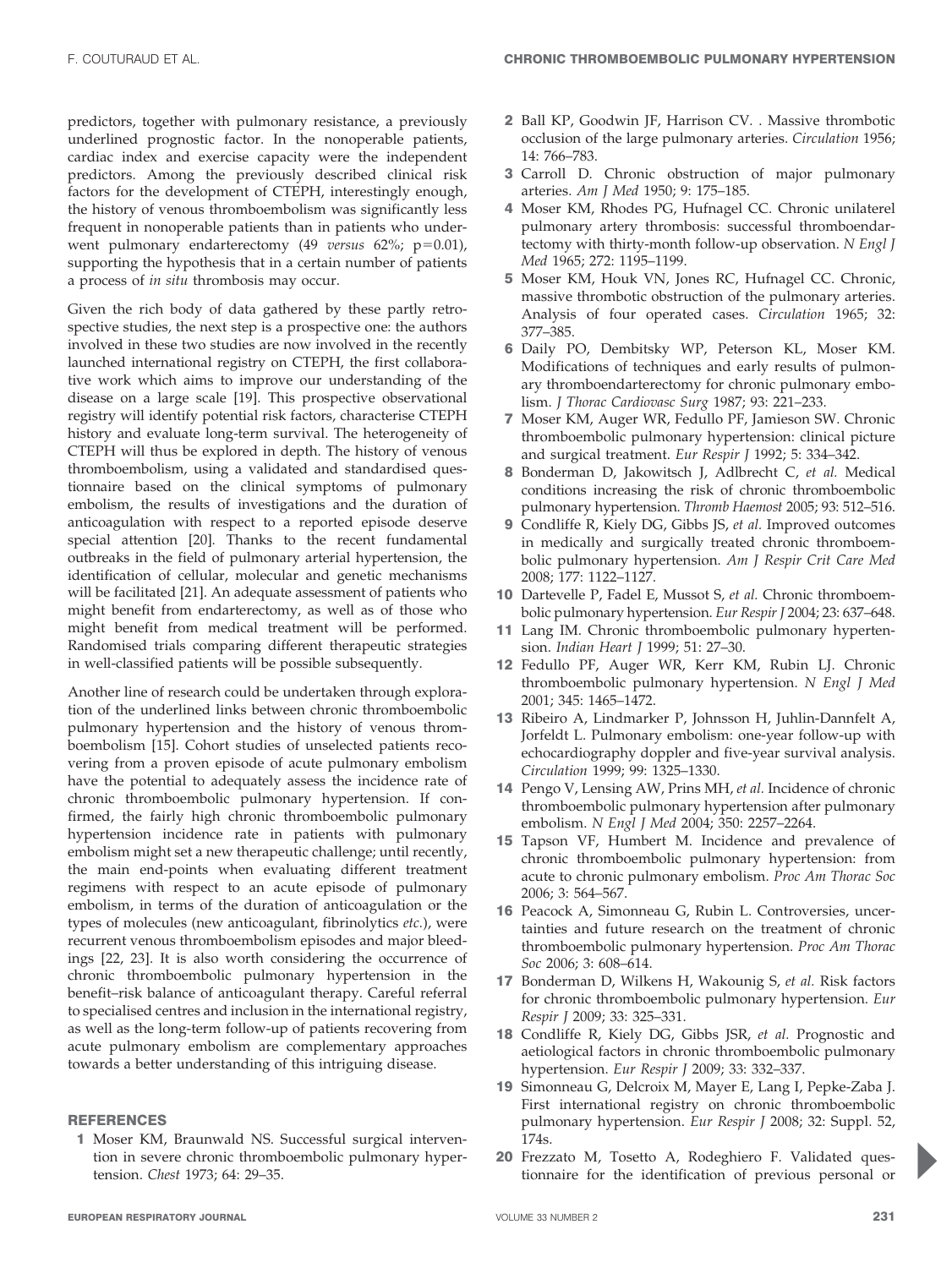predictors, together with pulmonary resistance, a previously underlined prognostic factor. In the nonoperable patients, cardiac index and exercise capacity were the independent predictors. Among the previously described clinical risk factors for the development of CTEPH, interestingly enough, the history of venous thromboembolism was significantly less frequent in nonoperable patients than in patients who underwent pulmonary endarterectomy (49 versus 62%; p=0.01), supporting the hypothesis that in a certain number of patients a process of in situ thrombosis may occur.

Given the rich body of data gathered by these partly retrospective studies, the next step is a prospective one: the authors involved in these two studies are now involved in the recently launched international registry on CTEPH, the first collaborative work which aims to improve our understanding of the disease on a large scale [19]. This prospective observational registry will identify potential risk factors, characterise CTEPH history and evaluate long-term survival. The heterogeneity of CTEPH will thus be explored in depth. The history of venous thromboembolism, using a validated and standardised questionnaire based on the clinical symptoms of pulmonary embolism, the results of investigations and the duration of anticoagulation with respect to a reported episode deserve special attention [20]. Thanks to the recent fundamental outbreaks in the field of pulmonary arterial hypertension, the identification of cellular, molecular and genetic mechanisms will be facilitated [21]. An adequate assessment of patients who might benefit from endarterectomy, as well as of those who might benefit from medical treatment will be performed. Randomised trials comparing different therapeutic strategies in well-classified patients will be possible subsequently.

Another line of research could be undertaken through exploration of the underlined links between chronic thromboembolic pulmonary hypertension and the history of venous thromboembolism [15]. Cohort studies of unselected patients recovering from a proven episode of acute pulmonary embolism have the potential to adequately assess the incidence rate of chronic thromboembolic pulmonary hypertension. If confirmed, the fairly high chronic thromboembolic pulmonary hypertension incidence rate in patients with pulmonary embolism might set a new therapeutic challenge; until recently, the main end-points when evaluating different treatment regimens with respect to an acute episode of pulmonary embolism, in terms of the duration of anticoagulation or the types of molecules (new anticoagulant, fibrinolytics etc.), were recurrent venous thromboembolism episodes and major bleedings [22, 23]. It is also worth considering the occurrence of chronic thromboembolic pulmonary hypertension in the benefit–risk balance of anticoagulant therapy. Careful referral to specialised centres and inclusion in the international registry, as well as the long-term follow-up of patients recovering from acute pulmonary embolism are complementary approaches towards a better understanding of this intriguing disease.

## **REFERENCES**

1 Moser KM, Braunwald NS. Successful surgical intervention in severe chronic thromboembolic pulmonary hypertension. Chest 1973; 64: 29–35.

- 2 Ball KP, Goodwin JF, Harrison CV. . Massive thrombotic occlusion of the large pulmonary arteries. Circulation 1956; 14: 766–783.
- 3 Carroll D. Chronic obstruction of major pulmonary arteries. Am J Med 1950; 9: 175–185.
- 4 Moser KM, Rhodes PG, Hufnagel CC. Chronic unilaterel pulmonary artery thrombosis: successful thromboendartectomy with thirty-month follow-up observation. N Engl J Med 1965; 272: 1195–1199.
- 5 Moser KM, Houk VN, Jones RC, Hufnagel CC. Chronic, massive thrombotic obstruction of the pulmonary arteries. Analysis of four operated cases. Circulation 1965; 32: 377–385.
- 6 Daily PO, Dembitsky WP, Peterson KL, Moser KM. Modifications of techniques and early results of pulmonary thromboendarterectomy for chronic pulmonary embolism. J Thorac Cardiovasc Surg 1987; 93: 221–233.
- 7 Moser KM, Auger WR, Fedullo PF, Jamieson SW. Chronic thromboembolic pulmonary hypertension: clinical picture and surgical treatment. Eur Respir J 1992; 5: 334–342.
- 8 Bonderman D, Jakowitsch J, Adlbrecht C, et al. Medical conditions increasing the risk of chronic thromboembolic pulmonary hypertension. Thromb Haemost 2005; 93: 512–516.
- 9 Condliffe R, Kiely DG, Gibbs JS, et al. Improved outcomes in medically and surgically treated chronic thromboembolic pulmonary hypertension. Am J Respir Crit Care Med 2008; 177: 1122–1127.
- 10 Dartevelle P, Fadel E, Mussot S, et al. Chronic thromboembolic pulmonary hypertension. Eur Respir J 2004; 23: 637–648.
- 11 Lang IM. Chronic thromboembolic pulmonary hypertension. Indian Heart J 1999; 51: 27–30.
- 12 Fedullo PF, Auger WR, Kerr KM, Rubin LJ. Chronic thromboembolic pulmonary hypertension. N Engl J Med 2001; 345: 1465–1472.
- 13 Ribeiro A, Lindmarker P, Johnsson H, Juhlin-Dannfelt A, Jorfeldt L. Pulmonary embolism: one-year follow-up with echocardiography doppler and five-year survival analysis. Circulation 1999; 99: 1325–1330.
- 14 Pengo V, Lensing AW, Prins MH, et al. Incidence of chronic thromboembolic pulmonary hypertension after pulmonary embolism. N Engl J Med 2004; 350: 2257–2264.
- 15 Tapson VF, Humbert M. Incidence and prevalence of chronic thromboembolic pulmonary hypertension: from acute to chronic pulmonary embolism. Proc Am Thorac Soc 2006; 3: 564–567.
- 16 Peacock A, Simonneau G, Rubin L. Controversies, uncertainties and future research on the treatment of chronic thromboembolic pulmonary hypertension. Proc Am Thorac Soc 2006; 3: 608–614.
- 17 Bonderman D, Wilkens H, Wakounig S, et al. Risk factors for chronic thromboembolic pulmonary hypertension. Eur Respir J 2009; 33: 325–331.
- 18 Condliffe R, Kiely DG, Gibbs JSR, et al. Prognostic and aetiological factors in chronic thromboembolic pulmonary hypertension. Eur Respir J 2009; 33: 332–337.
- 19 Simonneau G, Delcroix M, Mayer E, Lang I, Pepke-Zaba J. First international registry on chronic thromboembolic pulmonary hypertension. Eur Respir J 2008; 32: Suppl. 52, 174s.
- 20 Frezzato M, Tosetto A, Rodeghiero F. Validated questionnaire for the identification of previous personal or

**p**